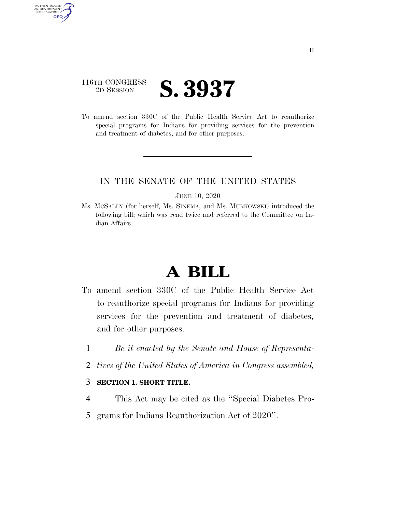## 116TH CONGRESS <sup>2D SESSION</sup> **S. 3937**

AUTHENTICATED<br>U.S. GOVERNMENT<br>INFORMATION GPO

> To amend section 330C of the Public Health Service Act to reauthorize special programs for Indians for providing services for the prevention and treatment of diabetes, and for other purposes.

## IN THE SENATE OF THE UNITED STATES

#### JUNE 10, 2020

Ms. MCSALLY (for herself, Ms. SINEMA, and Ms. MURKOWSKI) introduced the following bill; which was read twice and referred to the Committee on Indian Affairs

# **A BILL**

- To amend section 330C of the Public Health Service Act to reauthorize special programs for Indians for providing services for the prevention and treatment of diabetes, and for other purposes.
	- 1 *Be it enacted by the Senate and House of Representa-*
	- 2 *tives of the United States of America in Congress assembled,*

### 3 **SECTION 1. SHORT TITLE.**

- 4 This Act may be cited as the ''Special Diabetes Pro-
- 5 grams for Indians Reauthorization Act of 2020''.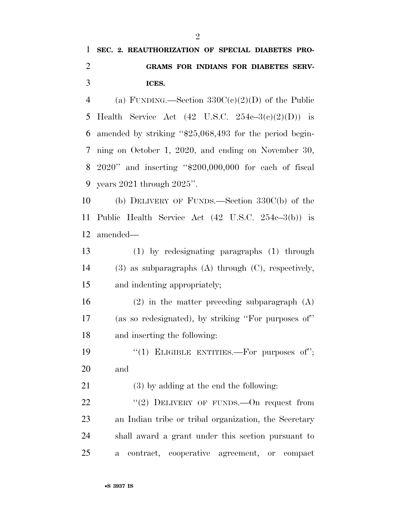## **SEC. 2. REAUTHORIZATION OF SPECIAL DIABETES PRO- GRAMS FOR INDIANS FOR DIABETES SERV-ICES.**

4 (a) FUNDING.—Section  $330C(c)(2)(D)$  of the Public 5 Health Service Act  $(42 \text{ U.S.C. } 254c-3(c)(2)(D))$  is amended by striking ''\$25,068,493 for the period begin- ning on October 1, 2020, and ending on November 30, 2020'' and inserting ''\$200,000,000 for each of fiscal years 2021 through 2025''.

 (b) DELIVERY OF FUNDS.—Section 330C(b) of the Public Health Service Act (42 U.S.C. 254c–3(b)) is amended—

 (1) by redesignating paragraphs (1) through (3) as subparagraphs (A) through (C), respectively, and indenting appropriately;

 (2) in the matter preceding subparagraph (A) (as so redesignated), by striking ''For purposes of'' and inserting the following:

19  $(1)$  ELIGIBLE ENTITIES.—For purposes of"; and

(3) by adding at the end the following:

 $(2)$  DELIVERY OF FUNDS. On request from an Indian tribe or tribal organization, the Secretary shall award a grant under this section pursuant to a contract, cooperative agreement, or compact